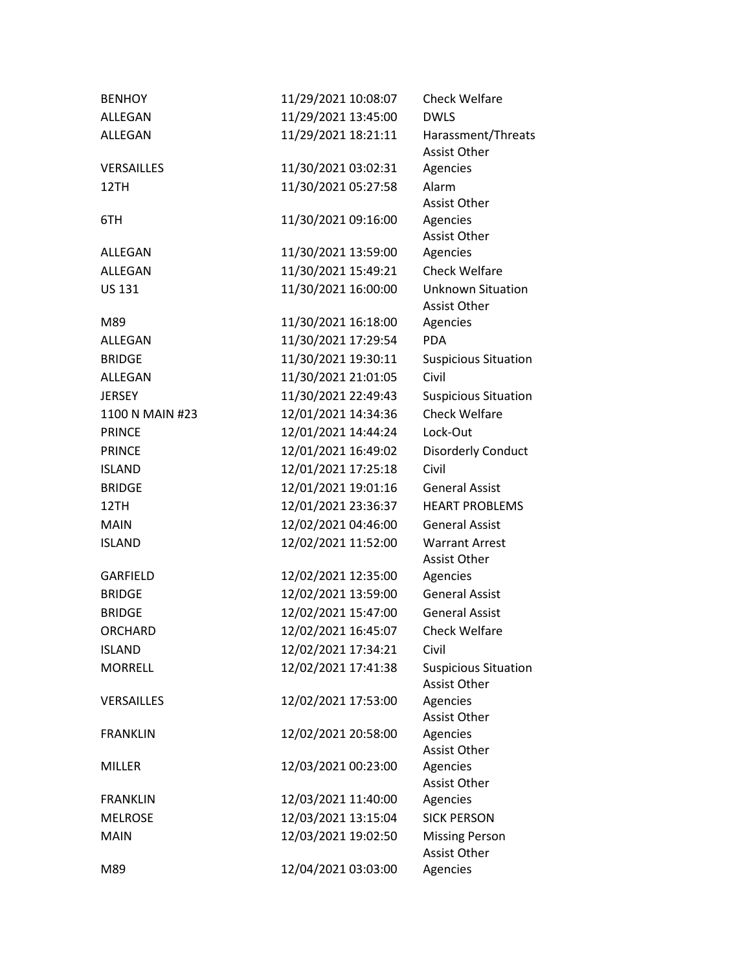| <b>BENHOY</b>     | 11/29/2021 10:08:07 | <b>Check Welfare</b>                            |
|-------------------|---------------------|-------------------------------------------------|
| ALLEGAN           | 11/29/2021 13:45:00 | <b>DWLS</b>                                     |
| ALLEGAN           | 11/29/2021 18:21:11 | Harassment/Threats                              |
|                   |                     | <b>Assist Other</b>                             |
| <b>VERSAILLES</b> | 11/30/2021 03:02:31 | Agencies                                        |
| 12TH              | 11/30/2021 05:27:58 | Alarm                                           |
|                   |                     | <b>Assist Other</b>                             |
| 6TH               | 11/30/2021 09:16:00 | Agencies                                        |
|                   |                     | <b>Assist Other</b>                             |
| ALLEGAN           | 11/30/2021 13:59:00 | Agencies                                        |
| <b>ALLEGAN</b>    | 11/30/2021 15:49:21 | <b>Check Welfare</b>                            |
| <b>US 131</b>     | 11/30/2021 16:00:00 | <b>Unknown Situation</b><br><b>Assist Other</b> |
| M89               | 11/30/2021 16:18:00 | Agencies                                        |
| ALLEGAN           | 11/30/2021 17:29:54 | <b>PDA</b>                                      |
| <b>BRIDGE</b>     | 11/30/2021 19:30:11 | <b>Suspicious Situation</b>                     |
| ALLEGAN           | 11/30/2021 21:01:05 | Civil                                           |
| <b>JERSEY</b>     | 11/30/2021 22:49:43 | <b>Suspicious Situation</b>                     |
| 1100 N MAIN #23   | 12/01/2021 14:34:36 | <b>Check Welfare</b>                            |
| <b>PRINCE</b>     | 12/01/2021 14:44:24 | Lock-Out                                        |
| <b>PRINCE</b>     | 12/01/2021 16:49:02 | Disorderly Conduct                              |
| <b>ISLAND</b>     | 12/01/2021 17:25:18 | Civil                                           |
| <b>BRIDGE</b>     | 12/01/2021 19:01:16 | <b>General Assist</b>                           |
| 12TH              | 12/01/2021 23:36:37 | <b>HEART PROBLEMS</b>                           |
| <b>MAIN</b>       | 12/02/2021 04:46:00 | <b>General Assist</b>                           |
| <b>ISLAND</b>     | 12/02/2021 11:52:00 | <b>Warrant Arrest</b>                           |
|                   |                     | <b>Assist Other</b>                             |
| <b>GARFIELD</b>   | 12/02/2021 12:35:00 | Agencies                                        |
| <b>BRIDGE</b>     | 12/02/2021 13:59:00 | <b>General Assist</b>                           |
| <b>BRIDGE</b>     | 12/02/2021 15:47:00 | <b>General Assist</b>                           |
| <b>ORCHARD</b>    | 12/02/2021 16:45:07 | <b>Check Welfare</b>                            |
| <b>ISLAND</b>     | 12/02/2021 17:34:21 | Civil                                           |
| <b>MORRELL</b>    | 12/02/2021 17:41:38 | <b>Suspicious Situation</b>                     |
|                   |                     | <b>Assist Other</b>                             |
| <b>VERSAILLES</b> | 12/02/2021 17:53:00 | Agencies                                        |
|                   |                     | <b>Assist Other</b>                             |
| <b>FRANKLIN</b>   | 12/02/2021 20:58:00 | Agencies                                        |
|                   |                     | <b>Assist Other</b>                             |
| MILLER            | 12/03/2021 00:23:00 | Agencies                                        |
| <b>FRANKLIN</b>   | 12/03/2021 11:40:00 | Assist Other<br>Agencies                        |
| <b>MELROSE</b>    | 12/03/2021 13:15:04 | <b>SICK PERSON</b>                              |
| <b>MAIN</b>       | 12/03/2021 19:02:50 |                                                 |
|                   |                     | <b>Missing Person</b><br>Assist Other           |
| M89               | 12/04/2021 03:03:00 | Agencies                                        |
|                   |                     |                                                 |